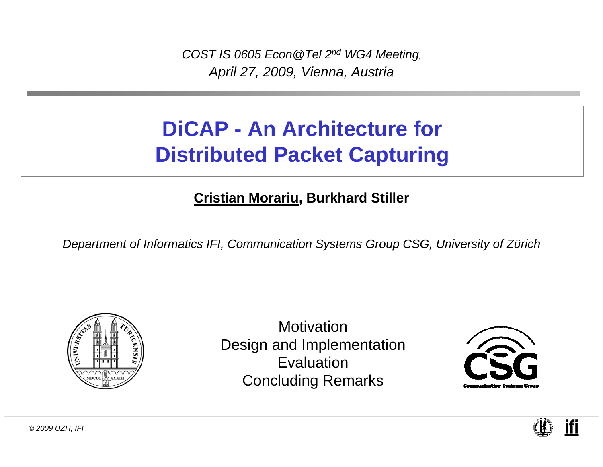*COST IS 0605 Econ@Tel 2n<sup>d</sup> WG4 Meeting, April 27, 2009, Vienna, Austria*

#### **DiCAP - An Architecture for Distributed Packet Capturing**

#### **Cristian Morariu, Burkhard Stiller**

*Department of Informatics IFI, Communication Systems Group CSG, University of Zürich*



MotivationDesign and Implementation EvaluationConcluding Remarks



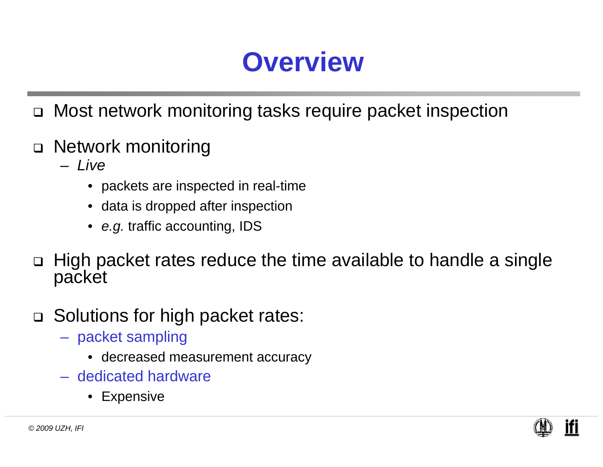# **Overview**

- $\Box$ Most network monitoring tasks require packet inspection
- Network monitoring
	- *Live* 
		- packets are inspected in real-time
		- data is dropped after inspection
		- *e.g.* traffic accounting, IDS
- $\Box$ High packet rates reduce the time available to handle a single packet
- □ Solutions for high packet rates:
	- packet sampling
		- decreased measurement accuracy
	- dedicated hardware
		- Expensive

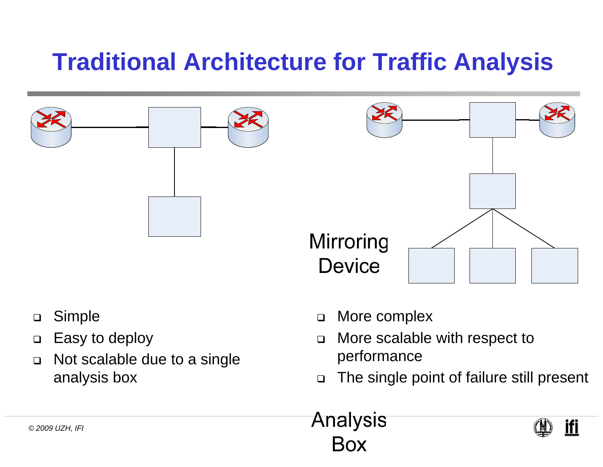### **Traditional Architecture for Traffic Analysis**



- $\Box$ Simple
- $\Box$ Easy to deploy
- $\Box$  Not scalable due to a single analysis box
- $\Box$ More complex
- $\Box$  More scalable with respect to performance
- $\Box$ The single point of failure still present



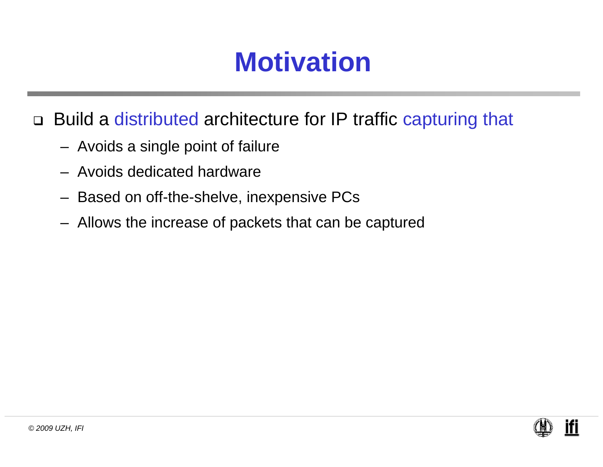## **Motivation**

□ Build a distributed architecture for IP traffic capturing that

- Avoids a single point of failure
- Avoids dedicated hardware
- Based on off-the-shelve, inexpensive PCs
- Allows the increase of packets that can be captured

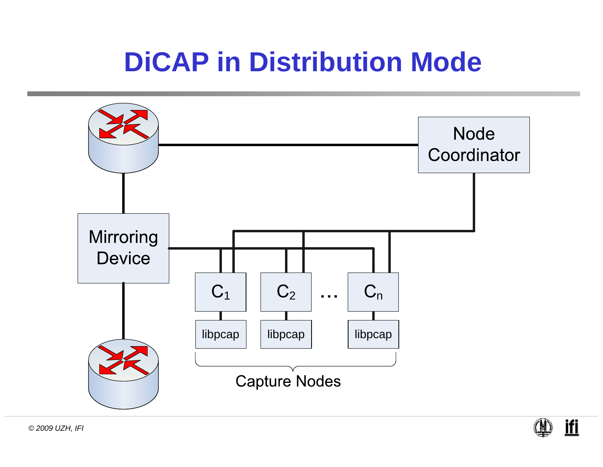## **DiCAP in Distribution Mode**





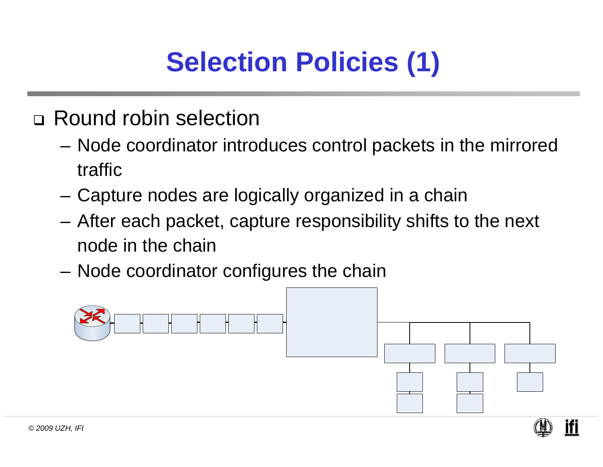# **Selection Policies (1)**

- Round robin selection
	- – Node coordinator introduces control packets in the mirrored traffic
	- Capture nodes are logically organized in a chain
	- – After each packet, capture responsibility shifts to the next node in the chain
	- Node coordinator configures the chain



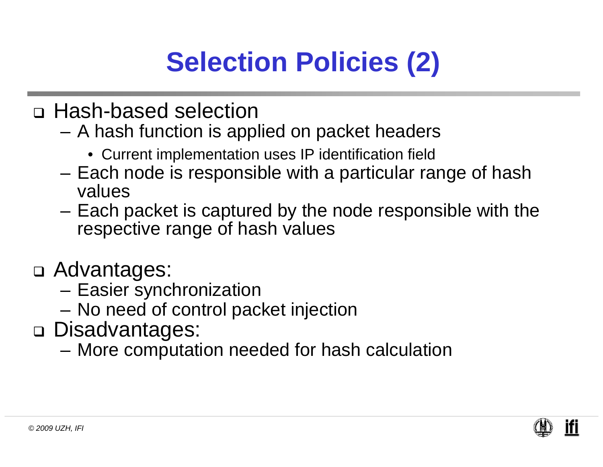# **Selection Policies (2)**

- Hash-based selection
	- A hash function is applied on packet headers
		- Current implementation uses IP identification field
	- Each node is responsible with a particular range of hash values
	- Each packet is captured by the node responsible with the respective range of hash values
- Advantages:
	- Easier synchronization
	- No need of control packet injection
- Disadvantages:
	- –More computation needed for hash calculation

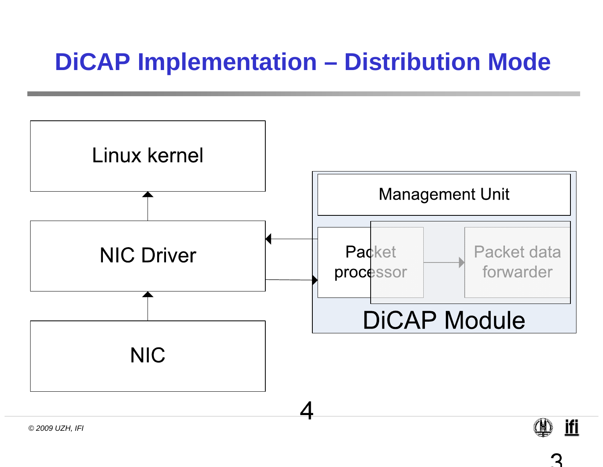#### **DiCAP Implementation – Distribution Mode**

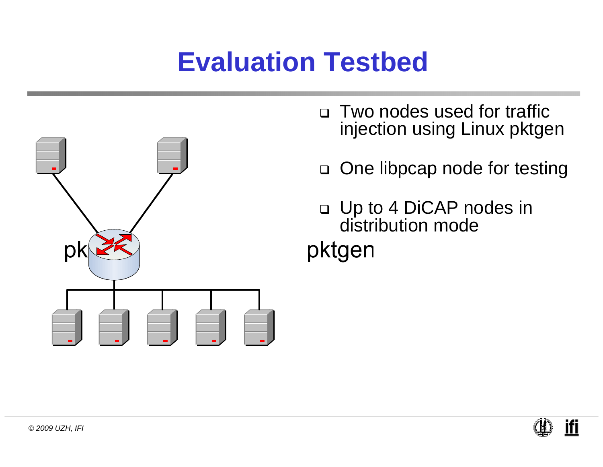# **Evaluation Testbed**



- $\Box$  Two nodes used for traffic injection using Linux pktgen
- □ One libpcap node for testing
- Up to 4 DiCAP nodes in distribution modepktgen

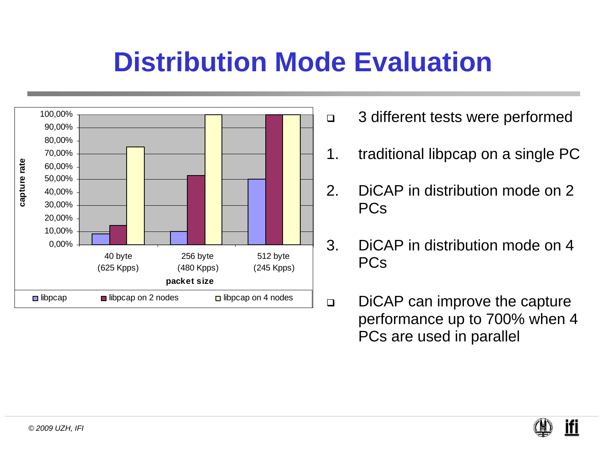## **Distribution Mode Evaluation**



- 3 different tests were performed
- 1. traditional libpcap on a single PC
- 2. DiCAP in distribution mode on 2 PCs
- 3. DiCAP in distribution mode on 4 PCs
- $\Box$  DiCAP can improve the capture performance up to 700% when 4 PCs are used in parallel